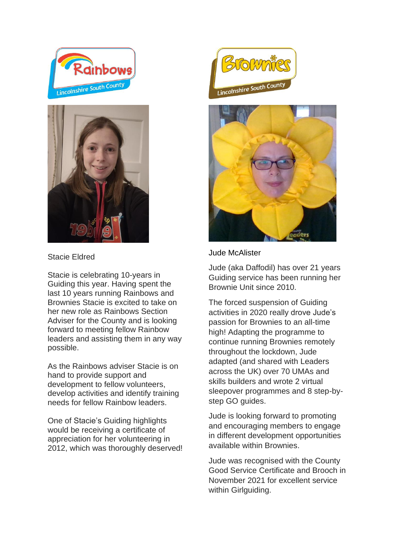



Stacie Eldred

Stacie is celebrating 10-years in Guiding this year. Having spent the last 10 years running Rainbows and Brownies Stacie is excited to take on her new role as Rainbows Section Adviser for the County and is looking forward to meeting fellow Rainbow leaders and assisting them in any way possible.

As the Rainbows adviser Stacie is on hand to provide support and development to fellow volunteers, develop activities and identify training needs for fellow Rainbow leaders.

One of Stacie's Guiding highlights would be receiving a certificate of appreciation for her volunteering in 2012, which was thoroughly deserved!





Jude McAlister

Jude (aka Daffodil) has over 21 years Guiding service has been running her Brownie Unit since 2010.

The forced suspension of Guiding activities in 2020 really drove Jude's passion for Brownies to an all-time high! Adapting the programme to continue running Brownies remotely throughout the lockdown, Jude adapted (and shared with Leaders across the UK) over 70 UMAs and skills builders and wrote 2 virtual sleepover programmes and 8 step-bystep GO quides.

Jude is looking forward to promoting and encouraging members to engage in different development opportunities available within Brownies.

Jude was recognised with the County Good Service Certificate and Brooch in November 2021 for excellent service within Girlguiding.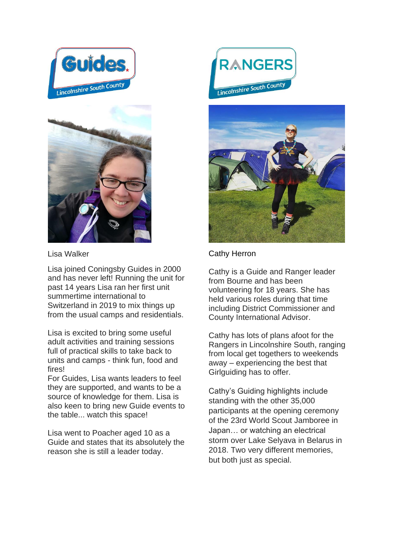



Lisa Walker

Lisa joined Coningsby Guides in 2000 and has never left! Running the unit for past 14 years Lisa ran her first unit summertime international to Switzerland in 2019 to mix things up from the usual camps and residentials.

Lisa is excited to bring some useful adult activities and training sessions full of practical skills to take back to units and camps - think fun, food and fires!

For Guides, Lisa wants leaders to feel they are supported, and wants to be a source of knowledge for them. Lisa is also keen to bring new Guide events to the table... watch this space!

Lisa went to Poacher aged 10 as a Guide and states that its absolutely the reason she is still a leader today.





## Cathy Herron

Cathy is a Guide and Ranger leader from Bourne and has been volunteering for 18 years. She has held various roles during that time including District Commissioner and County International Advisor.

Cathy has lots of plans afoot for the Rangers in Lincolnshire South, ranging from local get togethers to weekends away – experiencing the best that Girlguiding has to offer.

Cathy's Guiding highlights include standing with the other 35,000 participants at the opening ceremony of the 23rd World Scout Jamboree in Japan… or watching an electrical storm over Lake Selyava in Belarus in 2018. Two very different memories, but both just as special.